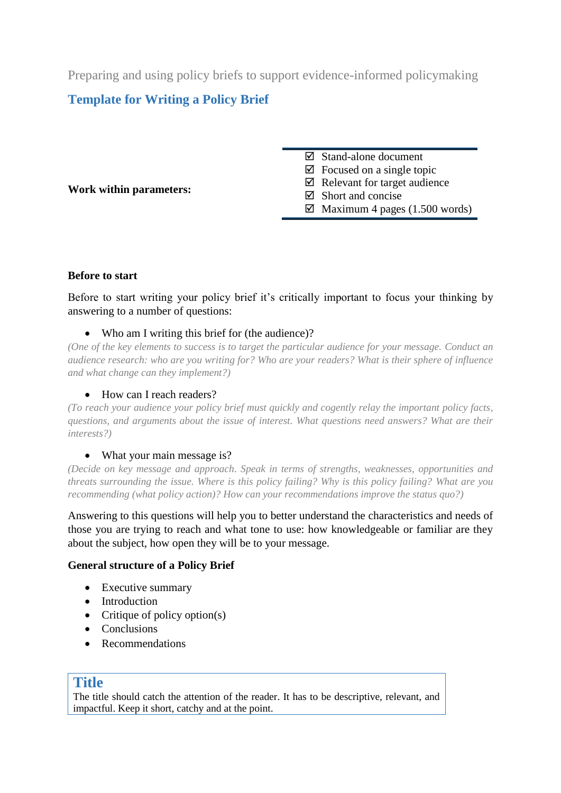Preparing and using policy briefs to support evidence-informed policymaking

# **Template for Writing a Policy Brief**

**Work within parameters:** 

Stand-alone document

 $\boxtimes$  Focused on a single topic

 $\boxtimes$  Relevant for target audience

 $\boxtimes$  Short and concise

 $\boxtimes$  Maximum 4 pages (1.500 words)

# **Before to start**

Before to start writing your policy brief it's critically important to focus your thinking by answering to a number of questions:

# • Who am I writing this brief for (the audience)?

*(One of the key elements to success is to target the particular audience for your message. Conduct an audience research: who are you writing for? Who are your readers? What is their sphere of influence and what change can they implement?)*

# • How can I reach readers?

*(To reach your audience your policy brief must quickly and cogently relay the important policy facts, questions, and arguments about the issue of interest. What questions need answers? What are their interests?)*

# • What your main message is?

*(Decide on key message and approach. Speak in terms of strengths, weaknesses, opportunities and threats surrounding the issue. Where is this policy failing? Why is this policy failing? What are you recommending (what policy action)? How can your recommendations improve the status quo?)*

Answering to this questions will help you to better understand the characteristics and needs of those you are trying to reach and what tone to use: how knowledgeable or familiar are they about the subject, how open they will be to your message.

# **General structure of a Policy Brief**

- Executive summary
- Introduction
- Critique of policy option(s)
- Conclusions
- Recommendations

# **Title**

The title should catch the attention of the reader. It has to be descriptive, relevant, and impactful. Keep it short, catchy and at the point.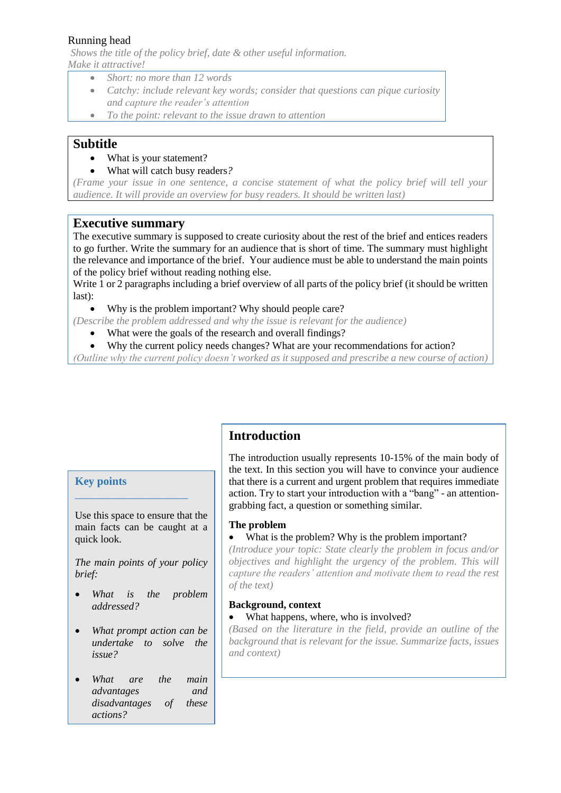*Shows the title of the policy brief, date & other useful information. Make it attractive!*

- *Short: no more than 12 words*
- *Catchy: include relevant key words; consider that questions can pique curiosity and capture the reader's attention*
- *To the point: relevant to the issue drawn to attention*

### **Subtitle**

- What is your statement?
- What will catch busy readers*?*

*(Frame your issue in one sentence, a concise statement of what the policy brief will tell your audience. It will provide an overview for busy readers. It should be written last)*

# **Executive summary**

The executive summary is supposed to create curiosity about the rest of the brief and entices readers to go further. Write the summary for an audience that is short of time. The summary must highlight the relevance and importance of the brief. Your audience must be able to understand the main points of the policy brief without reading nothing else.

Write 1 or 2 paragraphs including a brief overview of all parts of the policy brief (it should be written last):

• Why is the problem important? Why should people care?

*(Describe the problem addressed and why the issue is relevant for the audience)*

- What were the goals of the research and overall findings?
- Why the current policy needs changes? What are your recommendations for action?

*(Outline why the current policy doesn't worked as it supposed and prescribe a new course of action)*

#### **Key points**

Use this space to ensure that the main facts can be caught at a quick look.

\_\_\_\_\_\_\_\_\_\_\_\_\_\_\_\_\_\_\_\_

*The main points of your policy brief:*

- *What is the problem addressed?*
- *What prompt action can be undertake to solve the issue?*
- *What are the main advantages and disadvantages of these actions?*

# **Introduction**

The introduction usually represents 10-15% of the main body of the text. In this section you will have to convince your audience that there is a current and urgent problem that requires immediate action. Try to start your introduction with a "bang" - an attentiongrabbing fact, a question or something similar.

#### **The problem**

#### • What is the problem? Why is the problem important?

*(Introduce your topic: State clearly the problem in focus and/or objectives and highlight the urgency of the problem. This will capture the readers' attention and motivate them to read the rest of the text)*

#### **Background, context**

• What happens, where, who is involved?

*(Based on the literature in the field, provide an outline of the background that is relevant for the issue. Summarize facts, issues and context)*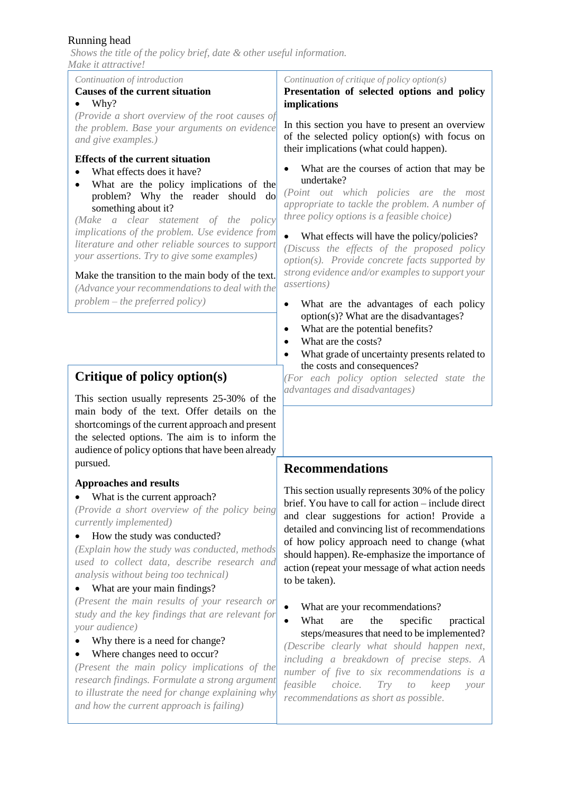*Shows the title of the policy brief, date & other useful information. Make it attractive!*

#### *Continuation of introduction* **Causes of the current situation**

Why?

*(Provide a short overview of the root causes of the problem. Base your arguments on evidence and give examples.)*

#### **Effects of the current situation**

- What effects does it have?
- What are the policy implications of the problem? Why the reader should do something about it?

*(Make a clear statement of the policy implications of the problem. Use evidence from literature and other reliable sources to support your assertions. Try to give some examples)*

#### Make the transition to the main body of the text.

*(Advance your recommendations to deal with the problem – the preferred policy)*

# **Critique of policy option(s)**

This section usually represents 25-30% of the main body of the text. Offer details on the shortcomings of the current approach and present the selected options. The aim is to inform the audience of policy options that have been already pursued.

#### **Approaches and results**

#### • What is the current approach?

*(Provide a short overview of the policy being currently implemented)*

#### • How the study was conducted?

*(Explain how the study was conducted, methods used to collect data, describe research and analysis without being too technical)*

#### • What are your main findings?

*(Present the main results of your research or study and the key findings that are relevant for your audience)*

• Why there is a need for change?

#### • Where changes need to occur?

*(Present the main policy implications of the research findings. Formulate a strong argument to illustrate the need for change explaining why and how the current approach is failing)*

*Continuation of critique of policy option(s)*

**Presentation of selected options and policy implications**

In this section you have to present an overview of the selected policy option(s) with focus on their implications (what could happen).

 What are the courses of action that may be undertake?

*(Point out which policies are the most appropriate to tackle the problem. A number of three policy options is a feasible choice)*

• What effects will have the policy/policies? *(Discuss the effects of the proposed policy option(s). Provide concrete facts supported by strong evidence and/or examples to support your assertions)*

- What are the advantages of each policy option(s)? What are the disadvantages?
- What are the potential benefits?
- What are the costs?
- What grade of uncertainty presents related to the costs and consequences?

*(For each policy option selected state the advantages and disadvantages)*

# **Recommendations**

This section usually represents 30% of the policy brief. You have to call for action – include direct and clear suggestions for action! Provide a detailed and convincing list of recommendations of how policy approach need to change (what should happen). Re-emphasize the importance of action (repeat your message of what action needs to be taken).

• What are your recommendations?

What are the specific practical steps/measures that need to be implemented?

*(Describe clearly what should happen next, including a breakdown of precise steps. A number of five to six recommendations is a feasible choice. Try to keep your recommendations as short as possible.*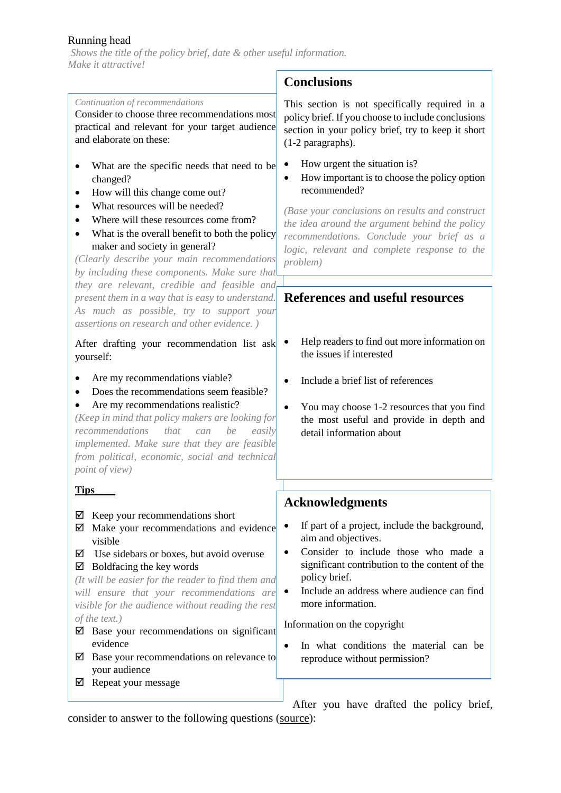*Shows the title of the policy brief, date & other useful information. Make it attractive!*  $\mathbf{r}$ 

|                                                                                                                                                                                                                                                                                                                                                                                                                                                                                                                       | <b>Conclusions</b>                                                                                                                                                                                                                                                                                                                                                                                          |
|-----------------------------------------------------------------------------------------------------------------------------------------------------------------------------------------------------------------------------------------------------------------------------------------------------------------------------------------------------------------------------------------------------------------------------------------------------------------------------------------------------------------------|-------------------------------------------------------------------------------------------------------------------------------------------------------------------------------------------------------------------------------------------------------------------------------------------------------------------------------------------------------------------------------------------------------------|
| Continuation of recommendations<br>Consider to choose three recommendations most<br>practical and relevant for your target audience<br>and elaborate on these:                                                                                                                                                                                                                                                                                                                                                        | This section is not specifically required in a<br>policy brief. If you choose to include conclusions<br>section in your policy brief, try to keep it short<br>(1-2 paragraphs).                                                                                                                                                                                                                             |
| What are the specific needs that need to be<br>changed?<br>How will this change come out?<br>What resources will be needed?<br>Where will these resources come from?<br>What is the overall benefit to both the policy<br>maker and society in general?<br>(Clearly describe your main recommendations<br>by including these components. Make sure that<br>they are relevant, credible and feasible and                                                                                                               | How urgent the situation is?<br>٠<br>How important is to choose the policy option<br>$\bullet$<br>recommended?<br>(Base your conclusions on results and construct<br>the idea around the argument behind the policy<br>recommendations. Conclude your brief as a<br>logic, relevant and complete response to the<br>problem)                                                                                |
| present them in a way that is easy to understand.<br>As much as possible, try to support your<br>assertions on research and other evidence.)                                                                                                                                                                                                                                                                                                                                                                          | References and useful resources                                                                                                                                                                                                                                                                                                                                                                             |
| After drafting your recommendation list ask<br>yourself:                                                                                                                                                                                                                                                                                                                                                                                                                                                              | Help readers to find out more information on<br>the issues if interested                                                                                                                                                                                                                                                                                                                                    |
| Are my recommendations viable?<br>Does the recommendations seem feasible?<br>Are my recommendations realistic?<br>(Keep in mind that policy makers are looking for<br>recommendations that<br>be<br>easily<br>can<br>implemented. Make sure that they are feasible<br>from political, economic, social and technical<br><i>point of view</i> )                                                                                                                                                                        | Include a brief list of references<br>You may choose 1-2 resources that you find<br>$\bullet$<br>the most useful and provide in depth and<br>detail information about                                                                                                                                                                                                                                       |
| <b>Tips</b>                                                                                                                                                                                                                                                                                                                                                                                                                                                                                                           |                                                                                                                                                                                                                                                                                                                                                                                                             |
| Keep your recommendations short<br>⊻<br>Make your recommendations and evidence<br>☑<br>visible<br>Use sidebars or boxes, but avoid overuse<br>☑<br>Boldfacing the key words<br>⊻<br>(It will be easier for the reader to find them and<br>will ensure that your recommendations are<br>visible for the audience without reading the rest<br>of the text.)<br>Base your recommendations on significant<br>⊻<br>evidence<br>Base your recommendations on relevance to<br>⊻<br>your audience<br>Repeat your message<br>⊻ | <b>Acknowledgments</b><br>If part of a project, include the background,<br>٠<br>aim and objectives.<br>Consider to include those who made a<br>٠<br>significant contribution to the content of the<br>policy brief.<br>Include an address where audience can find<br>٠<br>more information.<br>Information on the copyright<br>In what conditions the material can be<br>٠<br>reproduce without permission? |
|                                                                                                                                                                                                                                                                                                                                                                                                                                                                                                                       | After you have drafted the policy brief,                                                                                                                                                                                                                                                                                                                                                                    |

consider to answer to the following questions [\(source\)](http://communication-resources.wikispaces.com/file/view/Guidelines+for+writing+policybriefs.pdf):